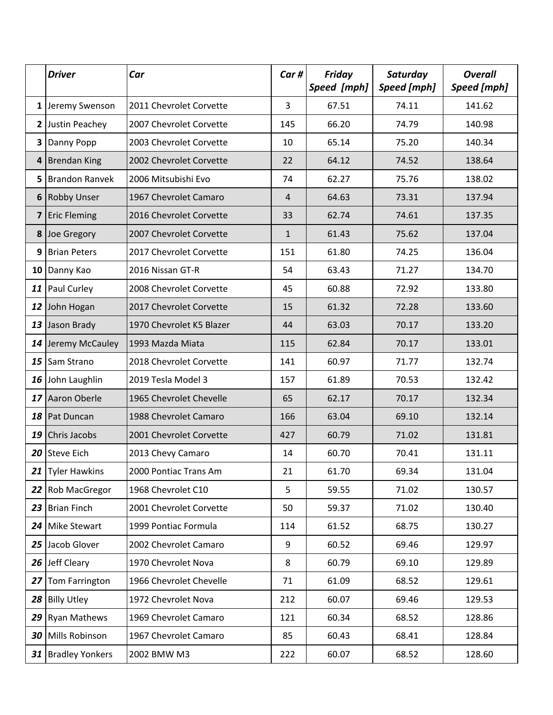|    | <b>Driver</b>             | Car                      | Car# | Friday<br>Speed [mph] | Saturday<br>Speed [mph] | <b>Overall</b><br><b>Speed</b> [mph] |
|----|---------------------------|--------------------------|------|-----------------------|-------------------------|--------------------------------------|
|    | 1 Jeremy Swenson          | 2011 Chevrolet Corvette  | 3    | 67.51                 | 74.11                   | 141.62                               |
|    | 2 Justin Peachey          | 2007 Chevrolet Corvette  | 145  | 66.20                 | 74.79                   | 140.98                               |
| 3  | Danny Popp                | 2003 Chevrolet Corvette  | 10   | 65.14                 | 75.20                   | 140.34                               |
|    | 4 Brendan King            | 2002 Chevrolet Corvette  | 22   | 64.12                 | 74.52                   | 138.64                               |
| 5  | Brandon Ranvek            | 2006 Mitsubishi Evo      | 74   | 62.27                 | 75.76                   | 138.02                               |
|    | 6 Robby Unser             | 1967 Chevrolet Camaro    | 4    | 64.63                 | 73.31                   | 137.94                               |
|    | 7 Eric Fleming            | 2016 Chevrolet Corvette  | 33   | 62.74                 | 74.61                   | 137.35                               |
|    | 8 Joe Gregory             | 2007 Chevrolet Corvette  | 1    | 61.43                 | 75.62                   | 137.04                               |
| 9  | <b>Brian Peters</b>       | 2017 Chevrolet Corvette  | 151  | 61.80                 | 74.25                   | 136.04                               |
| 10 | Danny Kao                 | 2016 Nissan GT-R         | 54   | 63.43                 | 71.27                   | 134.70                               |
|    | 11 Paul Curley            | 2008 Chevrolet Corvette  | 45   | 60.88                 | 72.92                   | 133.80                               |
|    | 12 John Hogan             | 2017 Chevrolet Corvette  | 15   | 61.32                 | 72.28                   | 133.60                               |
| 13 | Jason Brady               | 1970 Chevrolet K5 Blazer | 44   | 63.03                 | 70.17                   | 133.20                               |
|    | 14 Jeremy McCauley        | 1993 Mazda Miata         | 115  | 62.84                 | 70.17                   | 133.01                               |
|    | 15 Sam Strano             | 2018 Chevrolet Corvette  | 141  | 60.97                 | 71.77                   | 132.74                               |
|    | 16 John Laughlin          | 2019 Tesla Model 3       | 157  | 61.89                 | 70.53                   | 132.42                               |
| 17 | Aaron Oberle              | 1965 Chevrolet Chevelle  | 65   | 62.17                 | 70.17                   | 132.34                               |
|    | 18 Pat Duncan             | 1988 Chevrolet Camaro    | 166  | 63.04                 | 69.10                   | 132.14                               |
| 19 | <b>Chris Jacobs</b>       | 2001 Chevrolet Corvette  | 427  | 60.79                 | 71.02                   | 131.81                               |
|    | 20 Steve Eich             | 2013 Chevy Camaro        | 14   | 60.70                 | 70.41                   | 131.11                               |
|    | 21 Tyler Hawkins          | 2000 Pontiac Trans Am    | 21   | 61.70                 | 69.34                   | 131.04                               |
|    | 22 Rob MacGregor          | 1968 Chevrolet C10       | 5    | 59.55                 | 71.02                   | 130.57                               |
|    | 23 Brian Finch            | 2001 Chevrolet Corvette  | 50   | 59.37                 | 71.02                   | 130.40                               |
|    | 24 Mike Stewart           | 1999 Pontiac Formula     | 114  | 61.52                 | 68.75                   | 130.27                               |
|    | 25 Jacob Glover           | 2002 Chevrolet Camaro    | 9    | 60.52                 | 69.46                   | 129.97                               |
|    | 26 Jeff Cleary            | 1970 Chevrolet Nova      | 8    | 60.79                 | 69.10                   | 129.89                               |
| 27 | Tom Farrington            | 1966 Chevrolet Chevelle  | 71   | 61.09                 | 68.52                   | 129.61                               |
|    | 28 Billy Utley            | 1972 Chevrolet Nova      | 212  | 60.07                 | 69.46                   | 129.53                               |
|    | 29 Ryan Mathews           | 1969 Chevrolet Camaro    | 121  | 60.34                 | 68.52                   | 128.86                               |
|    | 30 Mills Robinson         | 1967 Chevrolet Camaro    | 85   | 60.43                 | 68.41                   | 128.84                               |
|    | <b>31</b> Bradley Yonkers | 2002 BMW M3              | 222  | 60.07                 | 68.52                   | 128.60                               |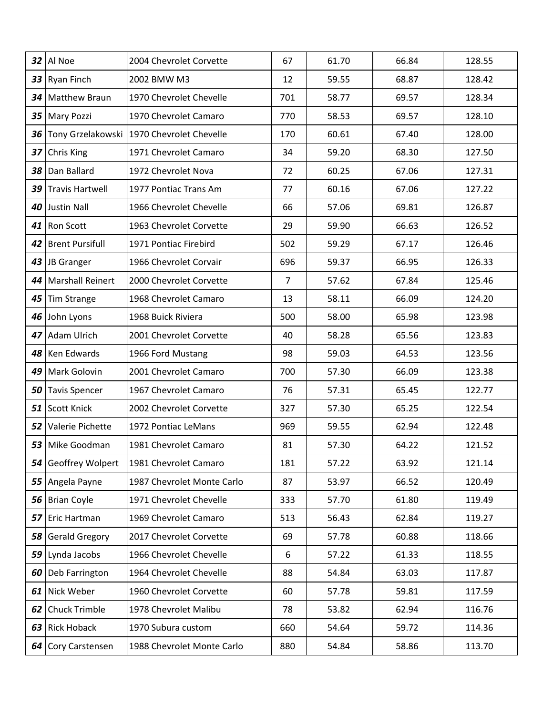|    | $32$  Al Noe           | 2004 Chevrolet Corvette                     | 67             | 61.70 | 66.84 | 128.55 |
|----|------------------------|---------------------------------------------|----------------|-------|-------|--------|
| 33 | Ryan Finch             | 2002 BMW M3                                 | 12             | 59.55 | 68.87 | 128.42 |
| 34 | <b>Matthew Braun</b>   | 1970 Chevrolet Chevelle                     | 701            | 58.77 | 69.57 | 128.34 |
|    | 35 Mary Pozzi          | 1970 Chevrolet Camaro                       | 770            | 58.53 | 69.57 | 128.10 |
| 36 |                        | Tony Grzelakowski   1970 Chevrolet Chevelle | 170            | 60.61 | 67.40 | 128.00 |
| 37 | <b>Chris King</b>      | 1971 Chevrolet Camaro                       | 34             | 59.20 | 68.30 | 127.50 |
| 38 | Dan Ballard            | 1972 Chevrolet Nova                         | 72             | 60.25 | 67.06 | 127.31 |
| 39 | Travis Hartwell        | 1977 Pontiac Trans Am                       | 77             | 60.16 | 67.06 | 127.22 |
|    | 40 Justin Nall         | 1966 Chevrolet Chevelle                     | 66             | 57.06 | 69.81 | 126.87 |
| 41 | <b>Ron Scott</b>       | 1963 Chevrolet Corvette                     | 29             | 59.90 | 66.63 | 126.52 |
| 42 | <b>Brent Pursifull</b> | 1971 Pontiac Firebird                       | 502            | 59.29 | 67.17 | 126.46 |
|    | 43 JB Granger          | 1966 Chevrolet Corvair                      | 696            | 59.37 | 66.95 | 126.33 |
| 44 | Marshall Reinert       | 2000 Chevrolet Corvette                     | $\overline{7}$ | 57.62 | 67.84 | 125.46 |
| 45 | Tim Strange            | 1968 Chevrolet Camaro                       | 13             | 58.11 | 66.09 | 124.20 |
| 46 | John Lyons             | 1968 Buick Riviera                          | 500            | 58.00 | 65.98 | 123.98 |
| 47 | Adam Ulrich            | 2001 Chevrolet Corvette                     | 40             | 58.28 | 65.56 | 123.83 |
|    | 48 Ken Edwards         | 1966 Ford Mustang                           | 98             | 59.03 | 64.53 | 123.56 |
| 49 | Mark Golovin           | 2001 Chevrolet Camaro                       | 700            | 57.30 | 66.09 | 123.38 |
| 50 | Tavis Spencer          | 1967 Chevrolet Camaro                       | 76             | 57.31 | 65.45 | 122.77 |
| 51 | Scott Knick            | 2002 Chevrolet Corvette                     | 327            | 57.30 | 65.25 | 122.54 |
| 52 | Valerie Pichette       | 1972 Pontiac LeMans                         | 969            | 59.55 | 62.94 | 122.48 |
|    | 53 Mike Goodman        | 1981 Chevrolet Camaro                       | 81             | 57.30 | 64.22 | 121.52 |
| 54 | Geoffrey Wolpert       | 1981 Chevrolet Camaro                       | 181            | 57.22 | 63.92 | 121.14 |
|    | 55 Angela Payne        | 1987 Chevrolet Monte Carlo                  | 87             | 53.97 | 66.52 | 120.49 |
|    | 56 Brian Coyle         | 1971 Chevrolet Chevelle                     | 333            | 57.70 | 61.80 | 119.49 |
| 57 | Eric Hartman           | 1969 Chevrolet Camaro                       | 513            | 56.43 | 62.84 | 119.27 |
| 58 | <b>Gerald Gregory</b>  | 2017 Chevrolet Corvette                     | 69             | 57.78 | 60.88 | 118.66 |
|    | 59 Lynda Jacobs        | 1966 Chevrolet Chevelle                     | 6              | 57.22 | 61.33 | 118.55 |
| 60 | Deb Farrington         | 1964 Chevrolet Chevelle                     | 88             | 54.84 | 63.03 | 117.87 |
|    | 61 Nick Weber          | 1960 Chevrolet Corvette                     | 60             | 57.78 | 59.81 | 117.59 |
| 62 | <b>Chuck Trimble</b>   | 1978 Chevrolet Malibu                       | 78             | 53.82 | 62.94 | 116.76 |
| 63 | <b>Rick Hoback</b>     | 1970 Subura custom                          | 660            | 54.64 | 59.72 | 114.36 |
|    | 64 Cory Carstensen     | 1988 Chevrolet Monte Carlo                  | 880            | 54.84 | 58.86 | 113.70 |